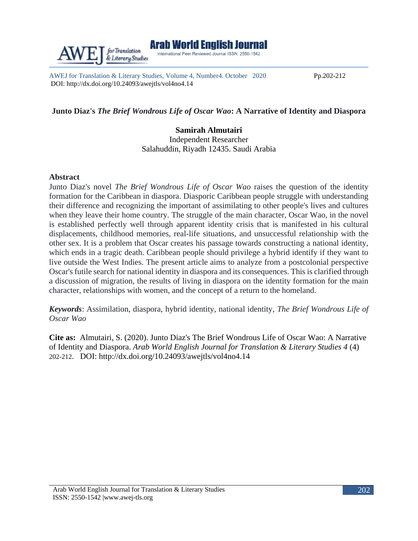AWEJ for Translation & Literary Studies, Volume 4, Number4. October 2020 Pp.202-212 DOI: http://dx.doi.org/10.24093/awejtls/vol4no4.14

# **Junto Diaz's** *The Brief Wondrous Life of Oscar Wao***: A Narrative of Identity and Diaspora**

**Samirah Almutairi** Independent Researcher

Salahuddin, Riyadh 12435. Saudi Arabia

### **Abstract**

Junto Diaz's novel *The Brief Wondrous Life of Oscar Wao* raises the question of the identity formation for the Caribbean in diaspora. Diasporic Caribbean people struggle with understanding their difference and recognizing the important of assimilating to other people's lives and cultures when they leave their home country. The struggle of the main character, Oscar Wao, in the novel is established perfectly well through apparent identity crisis that is manifested in his cultural displacements, childhood memories, real-life situations, and unsuccessful relationship with the other sex. It is a problem that Oscar creates his passage towards constructing a national identity, which ends in a tragic death. Caribbean people should privilege a hybrid identify if they want to live outside the West Indies. The present article aims to analyze from a postcolonial perspective Oscar's futile search for national identity in diaspora and its consequences. This is clarified through a discussion of migration, the results of living in diaspora on the identity formation for the main character, relationships with women, and the concept of a return to the homeland.

*Keywords*: Assimilation, diaspora, hybrid identity, national identity, *The Brief Wondrous Life of Oscar Wao*

**Cite as:** Almutairi, S. (2020). Junto Diaz's The Brief Wondrous Life of Oscar Wao: A Narrative of Identity and Diaspora. *Arab World English Journal for Translation & Literary Studies 4* (4) 202-212. DOI: [http://dx.doi.org/10.24093/awejtls/vol4no4.](http://dx.doi.org/10.24093/awejtls/vol4no4)14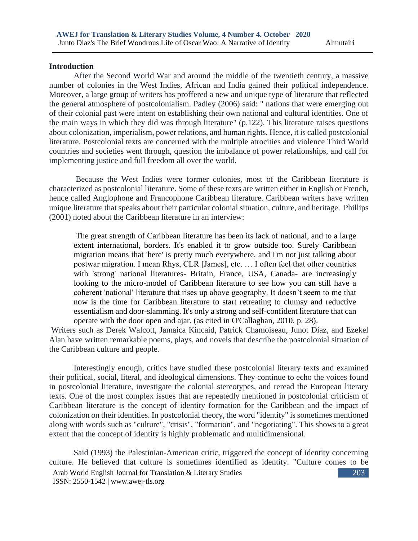203

#### **Introduction**

 After the Second World War and around the middle of the twentieth century, a massive number of colonies in the West Indies, African and India gained their political independence. Moreover, a large group of writers has proffered a new and unique type of literature that reflected the general atmosphere of postcolonialism. Padley (2006) said: " nations that were emerging out of their colonial past were intent on establishing their own national and cultural identities. One of the main ways in which they did was through literature" (p.122). This literature raises questions about colonization, imperialism, power relations, and human rights. Hence, it is called postcolonial literature. Postcolonial texts are concerned with the multiple atrocities and violence Third World countries and societies went through, question the imbalance of power relationships, and call for implementing justice and full freedom all over the world.

Because the West Indies were former colonies, most of the Caribbean literature is characterized as postcolonial literature. Some of these texts are written either in English or French, hence called Anglophone and Francophone Caribbean literature. Caribbean writers have written unique literature that speaks about their particular colonial situation, culture, and heritage. Phillips (2001) noted about the Caribbean literature in an interview:

The great strength of Caribbean literature has been its lack of national, and to a large extent international, borders. It's enabled it to grow outside too. Surely Caribbean migration means that 'here' is pretty much everywhere, and I'm not just talking about postwar migration. I mean Rhys, CLR [James], etc. … I often feel that other countries with 'strong' national literatures- Britain, France, USA, Canada- are increasingly looking to the micro-model of Caribbean literature to see how you can still have a coherent 'national' literature that rises up above geography. It doesn't seem to me that now is the time for Caribbean literature to start retreating to clumsy and reductive essentialism and door-slamming. It's only a strong and self-confident literature that can operate with the door open and ajar. (as cited in O'Callaghan, 2010, p. 28).

Writers such as Derek Walcott, Jamaica Kincaid, Patrick Chamoiseau, Junot Diaz, and Ezekel Alan have written remarkable poems, plays, and novels that describe the postcolonial situation of the Caribbean culture and people.

 Interestingly enough, critics have studied these postcolonial literary texts and examined their political, social, literal, and ideological dimensions. They continue to echo the voices found in postcolonial literature, investigate the colonial stereotypes, and reread the European literary texts. One of the most complex issues that are repeatedly mentioned in postcolonial criticism of Caribbean literature is the concept of identity formation for the Caribbean and the impact of colonization on their identities. In postcolonial theory, the word "identity" is sometimes mentioned along with words such as "culture", "crisis", "formation", and "negotiating". This shows to a great extent that the concept of identity is highly problematic and multidimensional.

 Said (1993) the Palestinian-American critic, triggered the concept of identity concerning culture. He believed that culture is sometimes identified as identity. "Culture comes to be

Arab World English Journal for Translation & Literary Studies ISSN: 2550-1542 | [www.awej-tls.org](http://www.awej-tls.org/)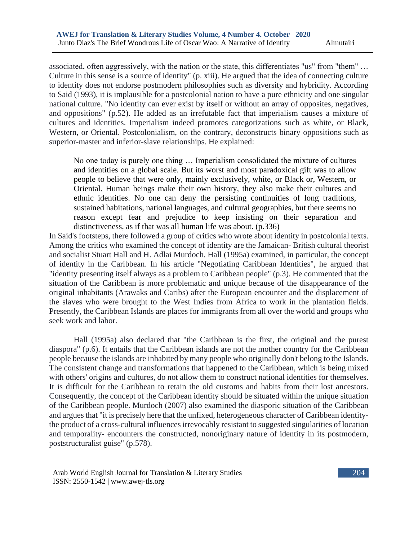associated, often aggressively, with the nation or the state, this differentiates "us" from "them" … Culture in this sense is a source of identity" (p. xiii). He argued that the idea of connecting culture to identity does not endorse postmodern philosophies such as diversity and hybridity. According to Said (1993), it is implausible for a postcolonial nation to have a pure ethnicity and one singular national culture. "No identity can ever exist by itself or without an array of opposites, negatives, and oppositions" (p.52). He added as an irrefutable fact that imperialism causes a mixture of cultures and identities. Imperialism indeed promotes categorizations such as white, or Black, Western, or Oriental. Postcolonialism, on the contrary, deconstructs binary oppositions such as superior-master and inferior-slave relationships. He explained:

No one today is purely one thing … Imperialism consolidated the mixture of cultures and identities on a global scale. But its worst and most paradoxical gift was to allow people to believe that were only, mainly exclusively, white, or Black or, Western, or Oriental. Human beings make their own history, they also make their cultures and ethnic identities. No one can deny the persisting continuities of long traditions, sustained habitations, national languages, and cultural geographies, but there seems no reason except fear and prejudice to keep insisting on their separation and distinctiveness, as if that was all human life was about. (p.336)

In Said's footsteps, there followed a group of critics who wrote about identity in postcolonial texts. Among the critics who examined the concept of identity are the Jamaican- British cultural theorist and socialist Stuart Hall and H. Adlai Murdoch. Hall (1995a) examined, in particular, the concept of identity in the Caribbean. In his article "Negotiating Caribbean Identities", he argued that "identity presenting itself always as a problem to Caribbean people" (p.3). He commented that the situation of the Caribbean is more problematic and unique because of the disappearance of the original inhabitants (Arawaks and Caribs) after the European encounter and the displacement of the slaves who were brought to the West Indies from Africa to work in the plantation fields. Presently, the Caribbean Islands are places for immigrants from all over the world and groups who seek work and labor.

 Hall (1995a) also declared that "the Caribbean is the first, the original and the purest diaspora" (p.6). It entails that the Caribbean islands are not the mother country for the Caribbean people because the islands are inhabited by many people who originally don't belong to the Islands. The consistent change and transformations that happened to the Caribbean, which is being mixed with others' origins and cultures, do not allow them to construct national identities for themselves. It is difficult for the Caribbean to retain the old customs and habits from their lost ancestors. Consequently, the concept of the Caribbean identity should be situated within the unique situation of the Caribbean people. Murdoch (2007) also examined the diasporic situation of the Caribbean and argues that "it is precisely here that the unfixed, heterogeneous character of Caribbean identitythe product of a cross-cultural influences irrevocably resistant to suggested singularities of location and temporality- encounters the constructed, nonoriginary nature of identity in its postmodern, poststructuralist guise" (p.578).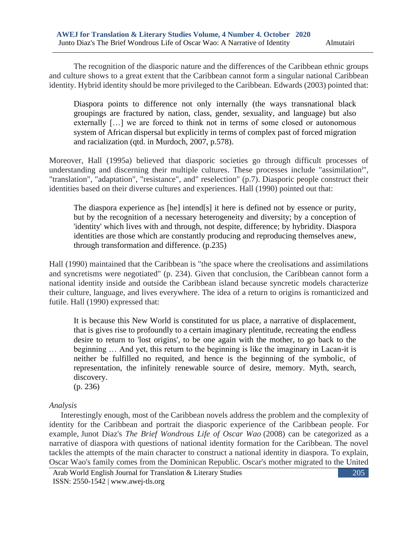The recognition of the diasporic nature and the differences of the Caribbean ethnic groups and culture shows to a great extent that the Caribbean cannot form a singular national Caribbean identity. Hybrid identity should be more privileged to the Caribbean. Edwards (2003) pointed that:

Diaspora points to difference not only internally (the ways transnational black groupings are fractured by nation, class, gender, sexuality, and language) but also externally […] we are forced to think not in terms of some closed or autonomous system of African dispersal but explicitly in terms of complex past of forced migration and racialization (qtd. in Murdoch, 2007, p.578).

Moreover, Hall (1995a) believed that diasporic societies go through difficult processes of understanding and discerning their multiple cultures. These processes include "assimilation<sup>i</sup>", "translation", "adaptation", "resistance", and" reselection" (p.7). Diasporic people construct their identities based on their diverse cultures and experiences. Hall (1990) pointed out that:

The diaspora experience as [he] intend[s] it here is defined not by essence or purity, but by the recognition of a necessary heterogeneity and diversity; by a conception of 'identity' which lives with and through, not despite, difference; by hybridity. Diaspora identities are those which are constantly producing and reproducing themselves anew, through transformation and difference. (p.235)

Hall (1990) maintained that the Caribbean is "the space where the creolisations and assimilations and syncretisms were negotiated" (p. 234). Given that conclusion, the Caribbean cannot form a national identity inside and outside the Caribbean island because syncretic models characterize their culture, language, and lives everywhere. The idea of a return to origins is romanticized and futile. Hall (1990) expressed that:

It is because this New World is constituted for us place, a narrative of displacement, that is gives rise to profoundly to a certain imaginary plentitude, recreating the endless desire to return to 'lost origins', to be one again with the mother, to go back to the beginning … And yet, this return to the beginning is like the imaginary in Lacan-it is neither be fulfilled no requited, and hence is the beginning of the symbolic, of representation, the infinitely renewable source of desire, memory. Myth, search, discovery.

(p. 236)

## *Analysis*

 Interestingly enough, most of the Caribbean novels address the problem and the complexity of identity for the Caribbean and portrait the diasporic experience of the Caribbean people. For example, Junot Diaz's *The Brief Wondrous Life of Oscar Wao* (2008) can be categorized as a narrative of diaspora with questions of national identity formation for the Caribbean. The novel tackles the attempts of the main character to construct a national identity in diaspora. To explain, Oscar Wao's family comes from the Dominican Republic. Oscar's mother migrated to the United

Arab World English Journal for Translation & Literary Studies ISSN: 2550-1542 | [www.awej-tls.org](http://www.awej-tls.org/)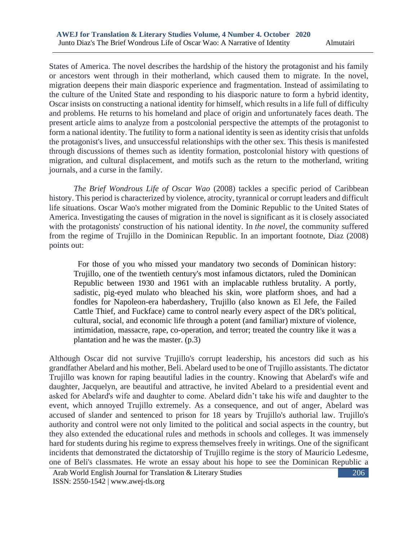States of America. The novel describes the hardship of the history the protagonist and his family or ancestors went through in their motherland, which caused them to migrate. In the novel, migration deepens their main diasporic experience and fragmentation. Instead of assimilating to the culture of the United State and responding to his diasporic nature to form a hybrid identity, Oscar insists on constructing a national identity for himself, which results in a life full of difficulty and problems. He returns to his homeland and place of origin and unfortunately faces death. The present article aims to analyze from a postcolonial perspective the attempts of the protagonist to form a national identity. The futility to form a national identity is seen as identity crisis that unfolds the protagonist's lives, and unsuccessful relationships with the other sex. This thesis is manifested through discussions of themes such as identity formation, postcolonial history with questions of migration, and cultural displacement, and motifs such as the return to the motherland, writing journals, and a curse in the family.

*The Brief Wondrous Life of Oscar Wao* (2008) tackles a specific period of Caribbean history. This period is characterized by violence, atrocity, tyrannical or corrupt leaders and difficult life situations. Oscar Wao's mother migrated from the Dominic Republic to the United States of America. Investigating the causes of migration in the novel is significant as it is closely associated with the protagonists' construction of his national identity. In *the novel,* the community suffered from the regime of Trujillo in the Dominican Republic. In an important footnote, Diaz (2008) points out:

 For those of you who missed your mandatory two seconds of Dominican history: Trujillo, one of the twentieth century's most infamous dictators, ruled the Dominican Republic between 1930 and 1961 with an implacable ruthless brutality. A portly, sadistic, pig-eyed mulato who bleached his skin, wore platform shoes, and had a fondles for Napoleon-era haberdashery, Trujillo (also known as El Jefe, the Failed Cattle Thief, and Fuckface) came to control nearly every aspect of the DR's political, cultural, social, and economic life through a potent (and familiar) mixture of violence, intimidation, massacre, rape, co-operation, and terror; treated the country like it was a plantation and he was the master. (p.3)

Although Oscar did not survive Trujillo's corrupt leadership, his ancestors did such as his grandfather Abelard and his mother, Beli. Abelard used to be one of Trujillo assistants. The dictator Trujillo was known for raping beautiful ladies in the country. Knowing that Abelard's wife and daughter, Jacquelyn, are beautiful and attractive, he invited Abelard to a presidential event and asked for Abelard's wife and daughter to come. Abelard didn't take his wife and daughter to the event, which annoyed Trujillo extremely. As a consequence, and out of anger, Abelard was accused of slander and sentenced to prison for 18 years by Trujillo's authorial law. Trujillo's authority and control were not only limited to the political and social aspects in the country, but they also extended the educational rules and methods in schools and colleges. It was immensely hard for students during his regime to express themselves freely in writings. One of the significant incidents that demonstrated the dictatorship of Trujillo regime is the story of Mauricio Ledesme, one of Beli's classmates. He wrote an essay about his hope to see the Dominican Republic a

Arab World English Journal for Translation & Literary Studies ISSN: 2550-1542 | [www.awej-tls.org](http://www.awej-tls.org/)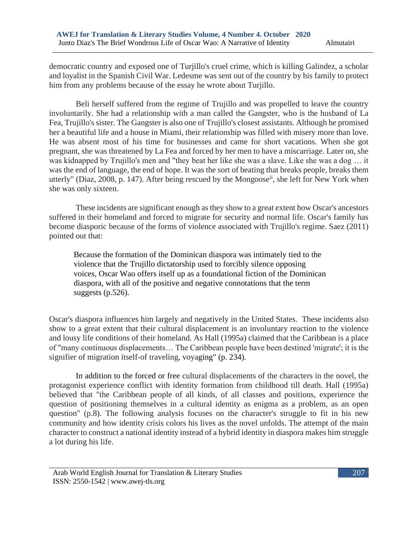democratic country and exposed one of Turjillo's cruel crime, which is killing Galindez, a scholar and loyalist in the Spanish Civil War. Ledesme was sent out of the country by his family to protect him from any problems because of the essay he wrote about Turjillo.

Beli herself suffered from the regime of Trujillo and was propelled to leave the country involuntarily. She had a relationship with a man called the Gangster, who is the husband of La Fea, Trujillo's sister. The Gangster is also one of Trujillo's closest assistants. Although he promised her a beautiful life and a house in Miami, their relationship was filled with misery more than love. He was absent most of his time for businesses and came for short vacations. When she got pregnant, she was threatened by La Fea and forced by her men to have a miscarriage. Later on, she was kidnapped by Trujillo's men and "they beat her like she was a slave. Like she was a dog … it was the end of language, the end of hope. It was the sort of beating that breaks people, breaks them utterly" (Diaz, 2008, p. 147). After being rescued by the Mongoose<sup>ii</sup>, she left for New York when she was only sixteen.

 These incidents are significant enough as they show to a great extent how Oscar's ancestors suffered in their homeland and forced to migrate for security and normal life. Oscar's family has become diasporic because of the forms of violence associated with Trujillo's regime. Saez (2011) pointed out that:

Because the formation of the Dominican diaspora was intimately tied to the violence that the Trujillo dictatorship used to forcibly silence opposing voices, Oscar Wao offers itself up as a foundational fiction of the Dominican diaspora, with all of the positive and negative connotations that the term suggests (p.526).

Oscar's diaspora influences him largely and negatively in the United States. These incidents also show to a great extent that their cultural displacement is an involuntary reaction to the violence and lousy life conditions of their homeland. As Hall (1995a) claimed that the Caribbean is a place of "many continuous displacements… The Caribbean people have been destined 'migrate'; it is the signifier of migration itself-of traveling, voyaging" (p. 234).

In addition to the forced or free cultural displacements of the characters in the novel, the protagonist experience conflict with identity formation from childhood till death. Hall (1995a) believed that "the Caribbean people of all kinds, of all classes and positions, experience the question of positioning themselves in a cultural identity as enigma as a problem, as an open question" (p.8). The following analysis focuses on the character's struggle to fit in his new community and how identity crisis colors his lives as the novel unfolds. The attempt of the main character to construct a national identity instead of a hybrid identity in diaspora makes him struggle a lot during his life.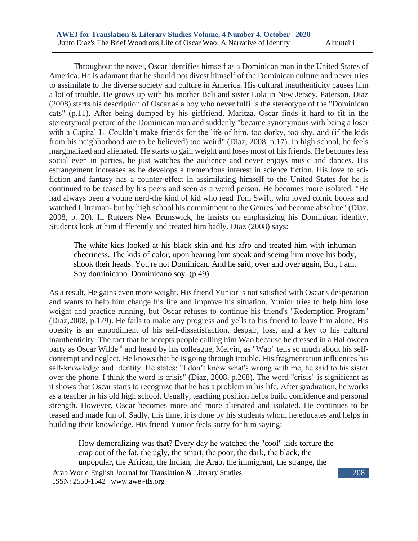Throughout the novel, Oscar identifies himself as a Dominican man in the United States of America. He is adamant that he should not divest himself of the Dominican culture and never tries to assimilate to the diverse society and culture in America. His cultural inauthenticity causes him a lot of trouble. He grows up with his mother Beli and sister Lola in New Jersey, Paterson. Diaz (2008) starts his description of Oscar as a boy who never fulfills the stereotype of the "Dominican cats" (p.11). After being dumped by his girlfriend, Maritza, Oscar finds it hard to fit in the stereotypical picture of the Dominican man and suddenly "became synonymous with being a loser with a Capital L. Couldn't make friends for the life of him, too dorky, too shy, and (if the kids from his neighborhood are to be believed) too weird" (Diaz, 2008, p.17). In high school, he feels marginalized and alienated. He starts to gain weight and loses most of his friends. He becomes less social even in parties, he just watches the audience and never enjoys music and dances. His estrangement increases as he develops a tremendous interest in science fiction. His love to scifiction and fantasy has a counter-effect in assimilating himself to the United States for he is continued to be teased by his peers and seen as a weird person. He becomes more isolated. "He had always been a young nerd-the kind of kid who read Tom Swift, who loved comic books and watched Ultraman- but by high school his commitment to the Genres had become absolute" (Diaz, 2008, p. 20). In Rutgers New Brunswick, he insists on emphasizing his Dominican identity. Students look at him differently and treated him badly. Diaz (2008) says:

The white kids looked at his black skin and his afro and treated him with inhuman cheeriness. The kids of color, upon hearing him speak and seeing him move his body, shook their heads. You're not Dominican. And he said, over and over again, But, I am. Soy dominicano. Dominicano soy. (p.49)

As a result, He gains even more weight. His friend Yunior is not satisfied with Oscar's desperation and wants to help him change his life and improve his situation. Yunior tries to help him lose weight and practice running, but Oscar refuses to continue his friend's "Redemption Program" (Diaz,2008, p.179). He fails to make any progress and yells to his friend to leave him alone. His obesity is an embodiment of his self-dissatisfaction, despair, loss, and a key to his cultural inauthenticity. The fact that he accepts people calling him Wao because he dressed in a Halloween party as Oscar Wilde<sup>iii</sup> and heard by his colleague, Melvin, as "Wao" tells so much about his selfcontempt and neglect. He knows that he is going through trouble. His fragmentation influences his self-knowledge and identity. He states: "I don't know what's wrong with me, he said to his sister over the phone. I think the word is crisis" (Diaz, 2008, p.268). The word "crisis" is significant as it shows that Oscar starts to recognize that he has a problem in his life. After graduation, he works as a teacher in his old high school. Usually, teaching position helps build confidence and personal strength. However, Oscar becomes more and more alienated and isolated. He continues to be teased and made fun of. Sadly, this time, it is done by his students whom he educates and helps in building their knowledge. His friend Yunior feels sorry for him saying:

How demoralizing was that? Every day he watched the "cool" kids torture the crap out of the fat, the ugly, the smart, the poor, the dark, the black, the unpopular, the African, the Indian, the Arab, the immigrant, the strange, the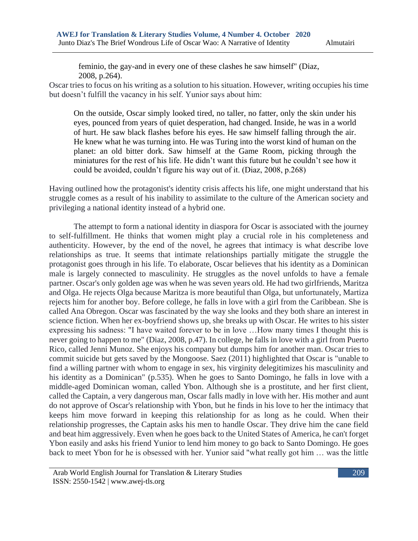feminio, the gay-and in every one of these clashes he saw himself" (Diaz, 2008, p.264).

Oscar tries to focus on his writing as a solution to his situation. However, writing occupies his time but doesn't fulfill the vacancy in his self. Yunior says about him:

On the outside, Oscar simply looked tired, no taller, no fatter, only the skin under his eyes, pounced from years of quiet desperation, had changed. Inside, he was in a world of hurt. He saw black flashes before his eyes. He saw himself falling through the air. He knew what he was turning into. He was Turing into the worst kind of human on the planet: an old bitter dork. Saw himself at the Game Room, picking through the miniatures for the rest of his life. He didn't want this future but he couldn't see how it could be avoided, couldn't figure his way out of it. (Diaz, 2008, p.268)

Having outlined how the protagonist's identity crisis affects his life, one might understand that his struggle comes as a result of his inability to assimilate to the culture of the American society and privileging a national identity instead of a hybrid one.

 The attempt to form a national identity in diaspora for Oscar is associated with the journey to self-fulfillment. He thinks that women might play a crucial role in his completeness and authenticity. However, by the end of the novel, he agrees that intimacy is what describe love relationships as true. It seems that intimate relationships partially mitigate the struggle the protagonist goes through in his life. To elaborate, Oscar believes that his identity as a Dominican male is largely connected to masculinity. He struggles as the novel unfolds to have a female partner. Oscar's only golden age was when he was seven years old. He had two girlfriends, Maritza and Olga. He rejects Olga because Maritza is more beautiful than Olga, but unfortunately, Martiza rejects him for another boy. Before college, he falls in love with a girl from the Caribbean. She is called Ana Obregon. Oscar was fascinated by the way she looks and they both share an interest in science fiction. When her ex-boyfriend shows up, she breaks up with Oscar. He writes to his sister expressing his sadness: "I have waited forever to be in love …How many times I thought this is never going to happen to me" (Diaz, 2008, p.47). In college, he falls in love with a girl from Puerto Rico, called Jenni Munoz. She enjoys his company but dumps him for another man. Oscar tries to commit suicide but gets saved by the Mongoose. Saez (2011) highlighted that Oscar is "unable to find a willing partner with whom to engage in sex, his virginity delegitimizes his masculinity and his identity as a Dominican" (p.535). When he goes to Santo Domingo, he falls in love with a middle-aged Dominican woman, called Ybon. Although she is a prostitute, and her first client, called the Captain, a very dangerous man, Oscar falls madly in love with her. His mother and aunt do not approve of Oscar's relationship with Ybon, but he finds in his love to her the intimacy that keeps him move forward in keeping this relationship for as long as he could. When their relationship progresses, the Captain asks his men to handle Oscar. They drive him the cane field and beat him aggressively. Even when he goes back to the United States of America, he can't forget Ybon easily and asks his friend Yunior to lend him money to go back to Santo Domingo. He goes back to meet Ybon for he is obsessed with her. Yunior said "what really got him … was the little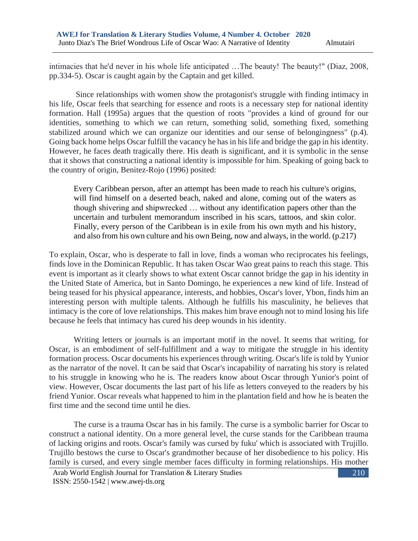intimacies that he'd never in his whole life anticipated …The beauty! The beauty!" (Diaz, 2008, pp.334-5). Oscar is caught again by the Captain and get killed.

Since relationships with women show the protagonist's struggle with finding intimacy in his life, Oscar feels that searching for essence and roots is a necessary step for national identity formation. Hall (1995a) argues that the question of roots "provides a kind of ground for our identities, something to which we can return, something solid, something fixed, something stabilized around which we can organize our identities and our sense of belongingness" (p.4). Going back home helps Oscar fulfill the vacancy he has in his life and bridge the gap in his identity. However, he faces death tragically there. His death is significant, and it is symbolic in the sense that it shows that constructing a national identity is impossible for him. Speaking of going back to the country of origin, Benitez-Rojo (1996) posited:

Every Caribbean person, after an attempt has been made to reach his culture's origins, will find himself on a deserted beach, naked and alone, coming out of the waters as though shivering and shipwrecked … without any identification papers other than the uncertain and turbulent memorandum inscribed in his scars, tattoos, and skin color. Finally, every person of the Caribbean is in exile from his own myth and his history, and also from his own culture and his own Being, now and always, in the world. (p.217)

To explain, Oscar, who is desperate to fall in love, finds a woman who reciprocates his feelings, finds love in the Dominican Republic. It has taken Oscar Wao great pains to reach this stage. This event is important as it clearly shows to what extent Oscar cannot bridge the gap in his identity in the United State of America, but in Santo Domingo, he experiences a new kind of life. Instead of being teased for his physical appearance, interests, and hobbies, Oscar's lover, Ybon, finds him an interesting person with multiple talents. Although he fulfills his masculinity, he believes that intimacy is the core of love relationships. This makes him brave enough not to mind losing his life because he feels that intimacy has cured his deep wounds in his identity.

Writing letters or journals is an important motif in the novel. It seems that writing, for Oscar, is an embodiment of self-fulfillment and a way to mitigate the struggle in his identity formation process. Oscar documents his experiences through writing. Oscar's life is told by Yunior as the narrator of the novel. It can be said that Oscar's incapability of narrating his story is related to his struggle in knowing who he is. The readers know about Oscar through Yunior's point of view. However, Oscar documents the last part of his life as letters conveyed to the readers by his friend Yunior. Oscar reveals what happened to him in the plantation field and how he is beaten the first time and the second time until he dies.

 The curse is a trauma Oscar has in his family. The curse is a symbolic barrier for Oscar to construct a national identity. On a more general level, the curse stands for the Caribbean trauma of lacking origins and roots. Oscar's family was cursed by fuku' which is associated with Trujillo. Trujillo bestows the curse to Oscar's grandmother because of her disobedience to his policy. His family is cursed, and every single member faces difficulty in forming relationships. His mother

Arab World English Journal for Translation & Literary Studies ISSN: 2550-1542 | [www.awej-tls.org](http://www.awej-tls.org/)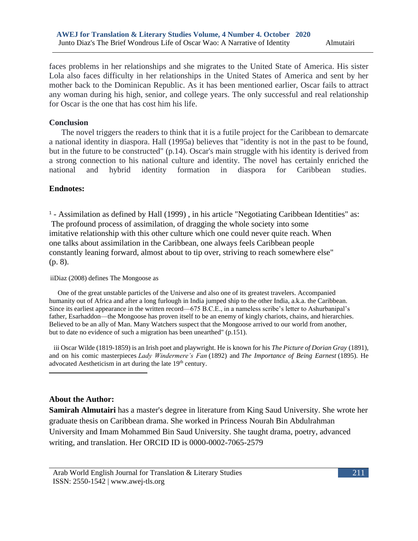faces problems in her relationships and she migrates to the United State of America. His sister Lola also faces difficulty in her relationships in the United States of America and sent by her mother back to the Dominican Republic. As it has been mentioned earlier, Oscar fails to attract any woman during his high, senior, and college years. The only successful and real relationship for Oscar is the one that has cost him his life.

### **Conclusion**

 The novel triggers the readers to think that it is a futile project for the Caribbean to demarcate a national identity in diaspora. Hall (1995a) believes that "identity is not in the past to be found, but in the future to be constructed" (p.14). Oscar's main struggle with his identity is derived from a strong connection to his national culture and identity. The novel has certainly enriched the national and hybrid identity formation in diaspora for Caribbean studies.

### **Endnotes:**

<sup>1</sup> - Assimilation as defined by Hall (1999), in his article "Negotiating Caribbean Identities" as: The profound process of assimilation, of dragging the whole society into some imitative relationship with this other culture which one could never quite reach. When one talks about assimilation in the Caribbean, one always feels Caribbean people constantly leaning forward, almost about to tip over, striving to reach somewhere else" (p. 8).

#### iiDiaz (2008) defines The Mongoose as

 One of the great unstable particles of the Universe and also one of its greatest travelers. Accompanied humanity out of Africa and after a long furlough in India jumped ship to the other India, a.k.a. the Caribbean. Since its earliest appearance in the written record—675 B.C.E., in a nameless scribe's letter to Ashurbanipal's father, Esarhaddon—the Mongoose has proven itself to be an enemy of kingly chariots, chains, and hierarchies. Believed to be an ally of Man. Many Watchers suspect that the Mongoose arrived to our world from another, but to date no evidence of such a migration has been unearthed" (p.151).

iii Oscar Wilde (1819-1859) is an Irish poet and playwright. He is known for his *The Picture of Dorian Gray* (1891), and on his comic masterpieces *Lady Windermere's Fan* (1892) and *The Importance of Being Earnest* (1895). He advocated Aestheticism in art during the late 19<sup>th</sup> century.

### **About the Author:**

**Samirah Almutairi** has a master's degree in literature from King Saud University. She wrote her graduate thesis on Caribbean drama. She worked in Princess Nourah Bin Abdulrahman University and Imam Mohammed Bin Saud University. She taught drama, poetry, advanced writing, and translation. Her ORCID ID is 0000-0002-7065-2579